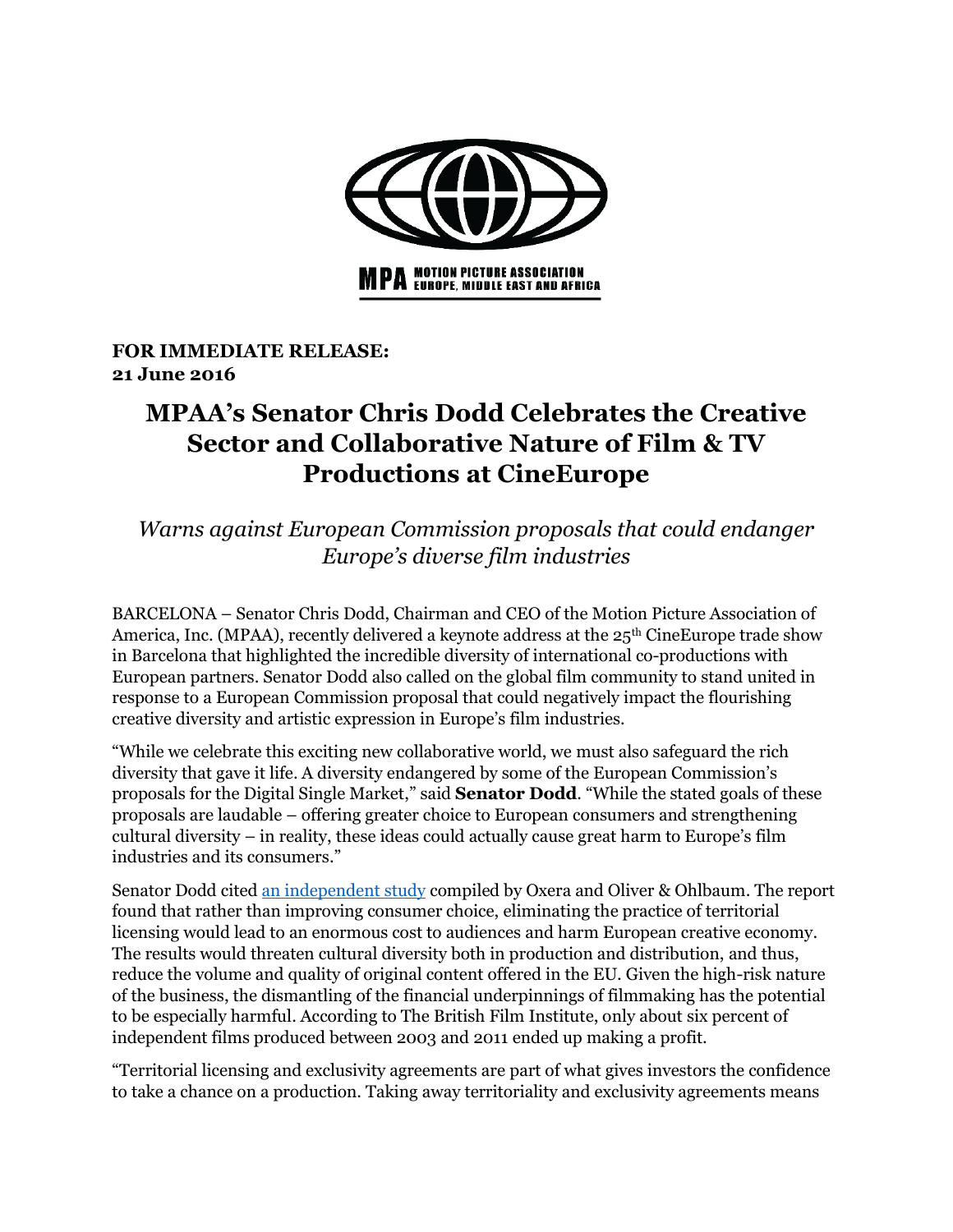

**FOR IMMEDIATE RELEASE: 21 June 2016**

## **MPAA's Senator Chris Dodd Celebrates the Creative Sector and Collaborative Nature of Film & TV Productions at CineEurope**

*Warns against European Commission proposals that could endanger Europe's diverse film industries*

BARCELONA – Senator Chris Dodd, Chairman and CEO of the Motion Picture Association of America, Inc. (MPAA), recently delivered a keynote address at the  $25<sup>th</sup>$  CineEurope trade show in Barcelona that highlighted the incredible diversity of international co-productions with European partners. Senator Dodd also called on the global film community to stand united in response to a European Commission proposal that could negatively impact the flourishing creative diversity and artistic expression in Europe's film industries.

"While we celebrate this exciting new collaborative world, we must also safeguard the rich diversity that gave it life. A diversity endangered by some of the European Commission's proposals for the Digital Single Market," said **Senator Dodd**. "While the stated goals of these proposals are laudable – offering greater choice to European consumers and strengthening cultural diversity – in reality, these ideas could actually cause great harm to Europe's film industries and its consumers."

Senator Dodd cited [an independent study](http://www.oxera.com/Latest-Thinking/Publications/Reports/2016/The-impact-of-cross-border-access-to-audiovisual-c.aspx) compiled by Oxera and Oliver & Ohlbaum. The report found that rather than improving consumer choice, eliminating the practice of territorial licensing would lead to an enormous cost to audiences and harm European creative economy. The results would threaten cultural diversity both in production and distribution, and thus, reduce the volume and quality of original content offered in the EU. Given the high-risk nature of the business, the dismantling of the financial underpinnings of filmmaking has the potential to be especially harmful. According to The British Film Institute, only about six percent of independent films produced between 2003 and 2011 ended up making a profit.

"Territorial licensing and exclusivity agreements are part of what gives investors the confidence to take a chance on a production. Taking away territoriality and exclusivity agreements means